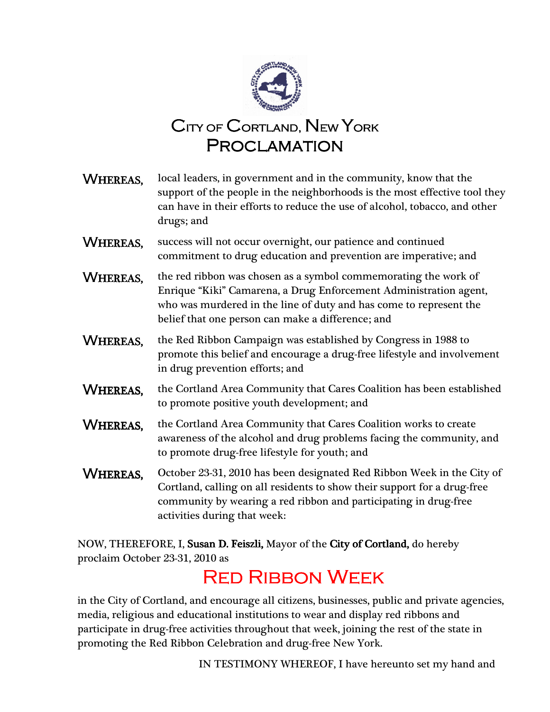

| <b>WHEREAS.</b> | local leaders, in government and in the community, know that the<br>support of the people in the neighborhoods is the most effective tool they<br>can have in their efforts to reduce the use of alcohol, tobacco, and other<br>drugs; and                      |
|-----------------|-----------------------------------------------------------------------------------------------------------------------------------------------------------------------------------------------------------------------------------------------------------------|
| WHEREAS,        | success will not occur overnight, our patience and continued<br>commitment to drug education and prevention are imperative; and                                                                                                                                 |
| WHEREAS,        | the red ribbon was chosen as a symbol commemorating the work of<br>Enrique "Kiki" Camarena, a Drug Enforcement Administration agent,<br>who was murdered in the line of duty and has come to represent the<br>belief that one person can make a difference; and |
| <b>WHEREAS,</b> | the Red Ribbon Campaign was established by Congress in 1988 to<br>promote this belief and encourage a drug-free lifestyle and involvement<br>in drug prevention efforts; and                                                                                    |
| <b>WHEREAS,</b> | the Cortland Area Community that Cares Coalition has been established<br>to promote positive youth development; and                                                                                                                                             |
| <b>WHEREAS,</b> | the Cortland Area Community that Cares Coalition works to create<br>awareness of the alcohol and drug problems facing the community, and<br>to promote drug-free lifestyle for youth; and                                                                       |
| WHEREAS,        | October 23-31, 2010 has been designated Red Ribbon Week in the City of<br>Cortland, calling on all residents to show their support for a drug-free<br>community by wearing a red ribbon and participating in drug-free<br>activities during that week:          |

NOW, THEREFORE, I, Susan D. Feiszli, Mayor of the City of Cortland, do hereby proclaim October 23-31, 2010 as

## **RED RIBBON WEEK**

 in the City of Cortland, and encourage all citizens, businesses, public and private agencies, media, religious and educational institutions to wear and display red ribbons and participate in drug-free activities throughout that week, joining the rest of the state in promoting the Red Ribbon Celebration and drug-free New York.

IN TESTIMONY WHEREOF, I have hereunto set my hand and